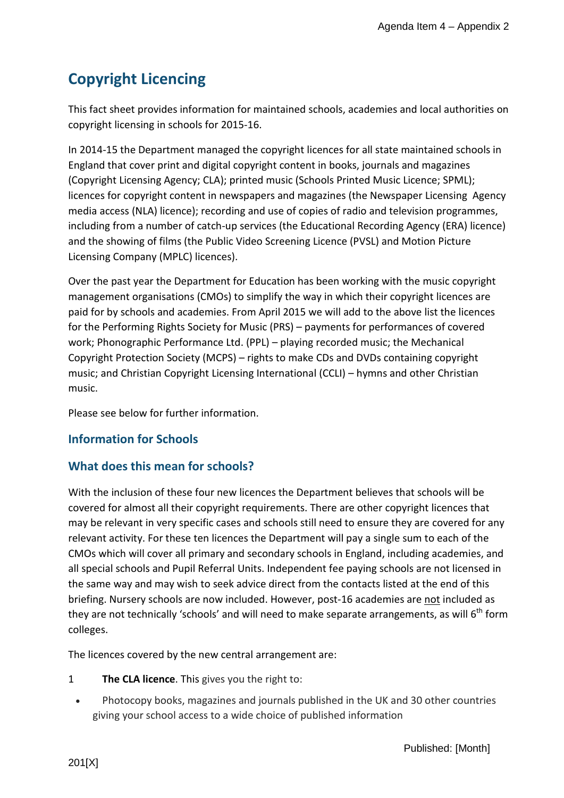# **Copyright Licencing**

This fact sheet provides information for maintained schools, academies and local authorities on copyright licensing in schools for 2015-16.

In 2014-15 the Department managed the copyright licences for all state maintained schools in England that cover print and digital copyright content in books, journals and magazines (Copyright Licensing Agency; CLA); printed music (Schools Printed Music Licence; SPML); licences for copyright content in newspapers and magazines (the Newspaper Licensing Agency media access (NLA) licence); recording and use of copies of radio and television programmes, including from a number of catch-up services (the Educational Recording Agency (ERA) licence) and the showing of films (the Public Video Screening Licence (PVSL) and Motion Picture Licensing Company (MPLC) licences).

Over the past year the Department for Education has been working with the music copyright management organisations (CMOs) to simplify the way in which their copyright licences are paid for by schools and academies. From April 2015 we will add to the above list the licences for the Performing Rights Society for Music (PRS) – payments for performances of covered work; Phonographic Performance Ltd. (PPL) – playing recorded music; the Mechanical Copyright Protection Society (MCPS) – rights to make CDs and DVDs containing copyright music; and Christian Copyright Licensing International (CCLI) – hymns and other Christian music.

Please see below for further information.

# **Information for Schools**

# **What does this mean for schools?**

With the inclusion of these four new licences the Department believes that schools will be covered for almost all their copyright requirements. There are other copyright licences that may be relevant in very specific cases and schools still need to ensure they are covered for any relevant activity. For these ten licences the Department will pay a single sum to each of the CMOs which will cover all primary and secondary schools in England, including academies, and all special schools and Pupil Referral Units. Independent fee paying schools are not licensed in the same way and may wish to seek advice direct from the contacts listed at the end of this briefing. Nursery schools are now included. However, post-16 academies are not included as they are not technically 'schools' and will need to make separate arrangements, as will  $6<sup>th</sup>$  form colleges.

The licences covered by the new central arrangement are:

- 1 **The CLA licence**. This gives you the right to:
	- Photocopy books, magazines and journals published in the UK and 30 other countries giving your school access to a wide choice of published information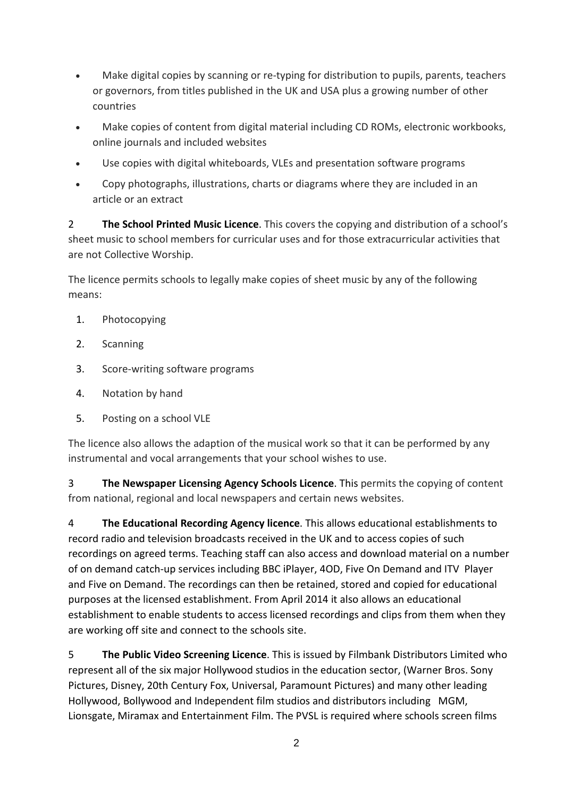- Make digital copies by scanning or re-typing for distribution to pupils, parents, teachers or governors, from titles published in the UK and USA plus a growing number of other countries
- Make copies of content from digital material including CD ROMs, electronic workbooks, online journals and included websites
- Use copies with digital whiteboards, VLEs and presentation software programs
- Copy photographs, illustrations, charts or diagrams where they are included in an article or an extract

2 **The School Printed Music Licence**. This covers the copying and distribution of a school's sheet music to school members for curricular uses and for those extracurricular activities that are not Collective Worship.

The licence permits schools to legally make copies of sheet music by any of the following means:

- 1. Photocopying
- 2. Scanning
- 3. Score-writing software programs
- 4. Notation by hand
- 5. Posting on a school VLE

The licence also allows the adaption of the musical work so that it can be performed by any instrumental and vocal arrangements that your school wishes to use.

3 **The Newspaper Licensing Agency Schools Licence**. This permits the copying of content from national, regional and local newspapers and certain news websites.

4 **The Educational Recording Agency licence**. This allows educational establishments to record radio and television broadcasts received in the UK and to access copies of such recordings on agreed terms. Teaching staff can also access and download material on a number of on demand catch-up services including BBC iPlayer, 4OD, Five On Demand and ITV Player and Five on Demand. The recordings can then be retained, stored and copied for educational purposes at the licensed establishment. From April 2014 it also allows an educational establishment to enable students to access licensed recordings and clips from them when they are working off site and connect to the schools site.

5 **The Public Video Screening Licence**. This is issued by Filmbank Distributors Limited who represent all of the six major Hollywood studios in the education sector, (Warner Bros. Sony Pictures, Disney, 20th Century Fox, Universal, Paramount Pictures) and many other leading Hollywood, Bollywood and Independent film studios and distributors including MGM, Lionsgate, Miramax and Entertainment Film. The PVSL is required where schools screen films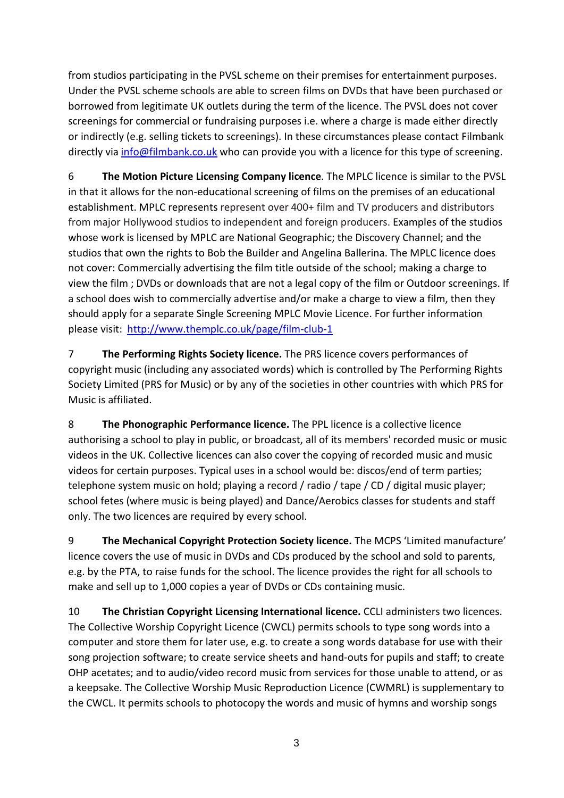from studios participating in the PVSL scheme on their premises for entertainment purposes. Under the PVSL scheme schools are able to screen films on DVDs that have been purchased or borrowed from legitimate UK outlets during the term of the licence. The PVSL does not cover screenings for commercial or fundraising purposes i.e. where a charge is made either directly or indirectly (e.g. selling tickets to screenings). In these circumstances please contact Filmbank directly via [info@filmbank.co.uk](mailto:info@filmbank.co.uk) who can provide you with a licence for this type of screening.

6 **The Motion Picture Licensing Company licence**. The MPLC licence is similar to the PVSL in that it allows for the non-educational screening of films on the premises of an educational establishment. MPLC represents represent over 400+ film and TV producers and distributors from major Hollywood studios to independent and foreign producers. Examples of the studios whose work is licensed by MPLC are National Geographic; the Discovery Channel; and the studios that own the rights to Bob the Builder and Angelina Ballerina. The MPLC licence does not cover: Commercially advertising the film title outside of the school; making a charge to view the film ; DVDs or downloads that are not a legal copy of the film or Outdoor screenings. If a school does wish to commercially advertise and/or make a charge to view a film, then they should apply for a separate Single Screening MPLC Movie Licence. For further information please visit: <http://www.themplc.co.uk/page/film-club-1>

7 **The Performing Rights Society licence.** The PRS licence covers performances of copyright music (including any associated words) which is controlled by The Performing Rights Society Limited (PRS for Music) or by any of the societies in other countries with which PRS for Music is affiliated.

8 **The Phonographic Performance licence.** The PPL licence is a collective licence authorising a school to play in public, or broadcast, all of its members' recorded music or music videos in the UK. Collective licences can also cover the copying of recorded music and music videos for certain purposes. Typical uses in a school would be: discos/end of term parties; telephone system music on hold; playing a record / radio / tape / CD / digital music player; school fetes (where music is being played) and Dance/Aerobics classes for students and staff only. The two licences are required by every school.

9 **The Mechanical Copyright Protection Society licence.** The MCPS 'Limited manufacture' licence covers the use of music in DVDs and CDs produced by the school and sold to parents, e.g. by the PTA, to raise funds for the school. The licence provides the right for all schools to make and sell up to 1,000 copies a year of DVDs or CDs containing music.

10 **The Christian Copyright Licensing International licence.** CCLI administers two licences. The Collective Worship Copyright Licence (CWCL) permits schools to type song words into a computer and store them for later use, e.g. to create a song words database for use with their song projection software; to create service sheets and hand-outs for pupils and staff; to create OHP acetates; and to audio/video record music from services for those unable to attend, or as a keepsake. The Collective Worship Music Reproduction Licence (CWMRL) is supplementary to the CWCL. It permits schools to photocopy the words and music of hymns and worship songs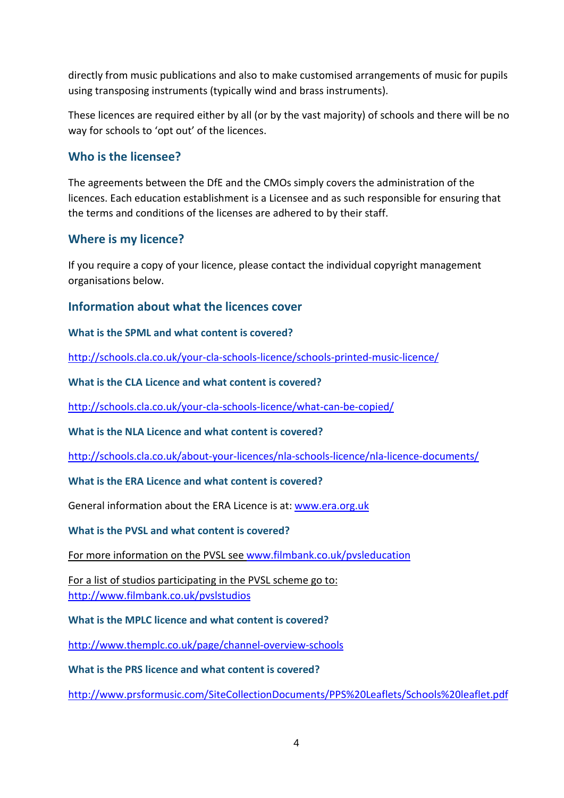directly from music publications and also to make customised arrangements of music for pupils using transposing instruments (typically wind and brass instruments).

These licences are required either by all (or by the vast majority) of schools and there will be no way for schools to 'opt out' of the licences.

## **Who is the licensee?**

The agreements between the DfE and the CMOs simply covers the administration of the licences. Each education establishment is a Licensee and as such responsible for ensuring that the terms and conditions of the licenses are adhered to by their staff.

## **Where is my licence?**

If you require a copy of your licence, please contact the individual copyright management organisations below.

## **Information about what the licences cover**

**What is the SPML and what content is covered?** 

<http://schools.cla.co.uk/your-cla-schools-licence/schools-printed-music-licence/>

**What is the CLA Licence and what content is covered?**

<http://schools.cla.co.uk/your-cla-schools-licence/what-can-be-copied/>

**What is the NLA Licence and what content is covered?**

<http://schools.cla.co.uk/about-your-licences/nla-schools-licence/nla-licence-documents/>

#### **What is the ERA Licence and what content is covered?**

General information about the ERA Licence is at: [www.era.org.uk](http://www.era.org.uk/)

#### **What is the PVSL and what content is covered?**

For more information on the PVSL see [www.filmbank.co.uk/pvsleducation](http://www.filmbank.co.uk/pvsleducation)

For a list of studios participating in the PVSL scheme go to: <http://www.filmbank.co.uk/pvslstudios>

**What is the MPLC licence and what content is covered?**

<http://www.themplc.co.uk/page/channel-overview-schools>

**What is the PRS licence and what content is covered?**

<http://www.prsformusic.com/SiteCollectionDocuments/PPS%20Leaflets/Schools%20leaflet.pdf>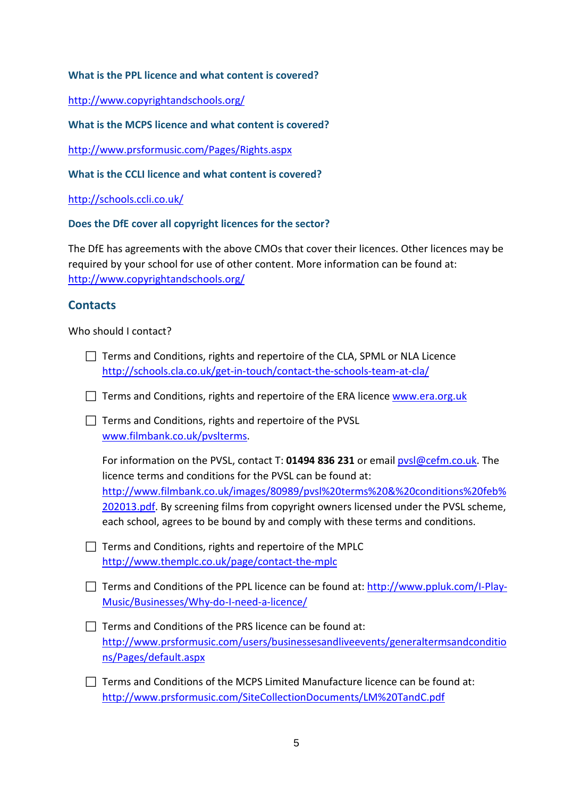#### **What is the PPL licence and what content is covered?**

<http://www.copyrightandschools.org/>

**What is the MCPS licence and what content is covered?**

<http://www.prsformusic.com/Pages/Rights.aspx>

**What is the CCLI licence and what content is covered?**

<http://schools.ccli.co.uk/>

#### **Does the DfE cover all copyright licences for the sector?**

The DfE has agreements with the above CMOs that cover their licences. Other licences may be required by your school for use of other content. More information can be found at: <http://www.copyrightandschools.org/>

## **Contacts**

Who should I contact?

- $\Box$  Terms and Conditions, rights and repertoire of the CLA, SPML or NLA Licence <http://schools.cla.co.uk/get-in-touch/contact-the-schools-team-at-cla/>
- $\Box$  Terms and Conditions, rights and repertoire of the ERA licence [www.era.org.uk](http://www.era.org.uk/)

 $\Box$  Terms and Conditions, rights and repertoire of the PVSL [www.filmbank.co.uk/pvslterms.](http://www.filmbank.co.uk/pvslterms)

For information on the PVSL, contact T: **01494 836 231** or email [pvsl@cefm.co.uk.](mailto:pvsl@cefm.co.uk) The licence terms and conditions for the PVSL can be found at: [http://www.filmbank.co.uk/images/80989/pvsl%20terms%20&%20conditions%20feb%](http://www.filmbank.co.uk/images/80989/pvsl%20terms%20&%20conditions%20feb%202013.pdf) [202013.pdf.](http://www.filmbank.co.uk/images/80989/pvsl%20terms%20&%20conditions%20feb%202013.pdf) By screening films from copyright owners licensed under the PVSL scheme, each school, agrees to be bound by and comply with these terms and conditions.

- $\Box$  Terms and Conditions, rights and repertoire of the MPLC <http://www.themplc.co.uk/page/contact-the-mplc>
- $\Box$  Terms and Conditions of the PPL licence can be found at: [http://www.ppluk.com/I-Play-](http://www.ppluk.com/I-Play-Music/Businesses/Why-do-I-need-a-licence/)[Music/Businesses/Why-do-I-need-a-licence/](http://www.ppluk.com/I-Play-Music/Businesses/Why-do-I-need-a-licence/)
- $\Box$  Terms and Conditions of the PRS licence can be found at: [http://www.prsformusic.com/users/businessesandliveevents/generaltermsandconditio](http://www.prsformusic.com/users/businessesandliveevents/generaltermsandconditions/Pages/default.aspx) [ns/Pages/default.aspx](http://www.prsformusic.com/users/businessesandliveevents/generaltermsandconditions/Pages/default.aspx)
- $\Box$  Terms and Conditions of the MCPS Limited Manufacture licence can be found at: <http://www.prsformusic.com/SiteCollectionDocuments/LM%20TandC.pdf>